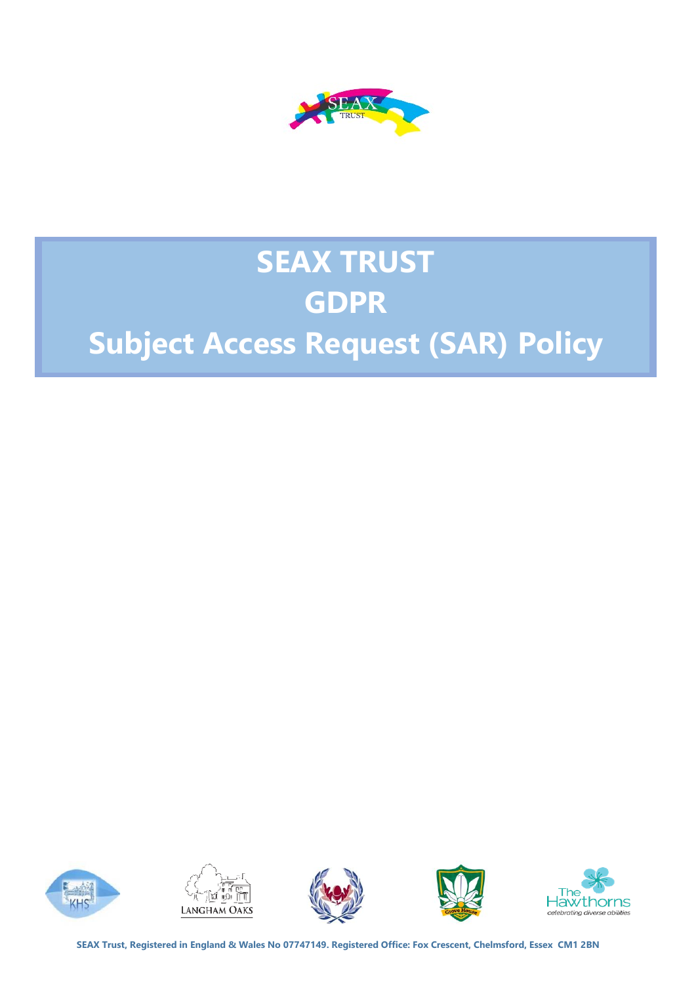

# **SEAX TRUST GDPR**

# **Subject Access Request (SAR) Policy**











**SEAX Trust, Registered in England & Wales No 07747149. Registered Office: Fox Crescent, Chelmsford, Essex CM1 2BN**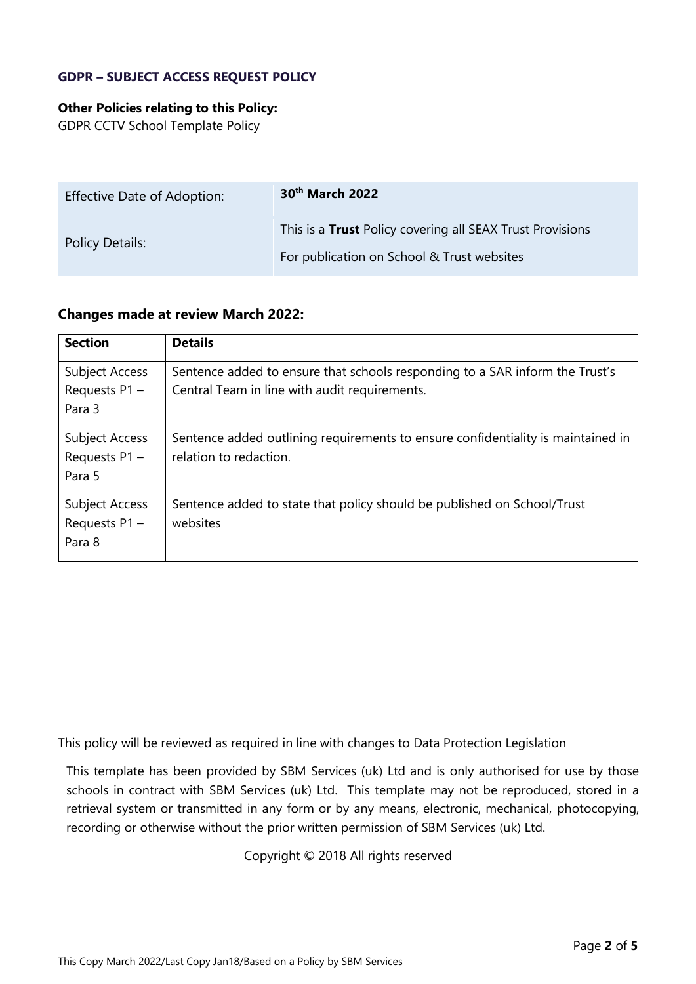### **GDPR – SUBJECT ACCESS REQUEST POLICY**

#### **Other Policies relating to this Policy:**

GDPR CCTV School Template Policy

| <b>Effective Date of Adoption:</b> | 30 <sup>th</sup> March 2022                               |
|------------------------------------|-----------------------------------------------------------|
|                                    | This is a Trust Policy covering all SEAX Trust Provisions |
| <b>Policy Details:</b>             | For publication on School & Trust websites                |

### **Changes made at review March 2022:**

| <b>Section</b>                              | <b>Details</b>                                                                                                                |
|---------------------------------------------|-------------------------------------------------------------------------------------------------------------------------------|
| Subject Access<br>Requests $P1 -$<br>Para 3 | Sentence added to ensure that schools responding to a SAR inform the Trust's<br>Central Team in line with audit requirements. |
| Subject Access<br>Requests P1 -<br>Para 5   | Sentence added outlining requirements to ensure confidentiality is maintained in<br>relation to redaction.                    |
| Subject Access<br>Requests P1 -<br>Para 8   | Sentence added to state that policy should be published on School/Trust<br>websites                                           |

This policy will be reviewed as required in line with changes to Data Protection Legislation

This template has been provided by SBM Services (uk) Ltd and is only authorised for use by those schools in contract with SBM Services (uk) Ltd. This template may not be reproduced, stored in a retrieval system or transmitted in any form or by any means, electronic, mechanical, photocopying, recording or otherwise without the prior written permission of SBM Services (uk) Ltd.

Copyright © 2018 All rights reserved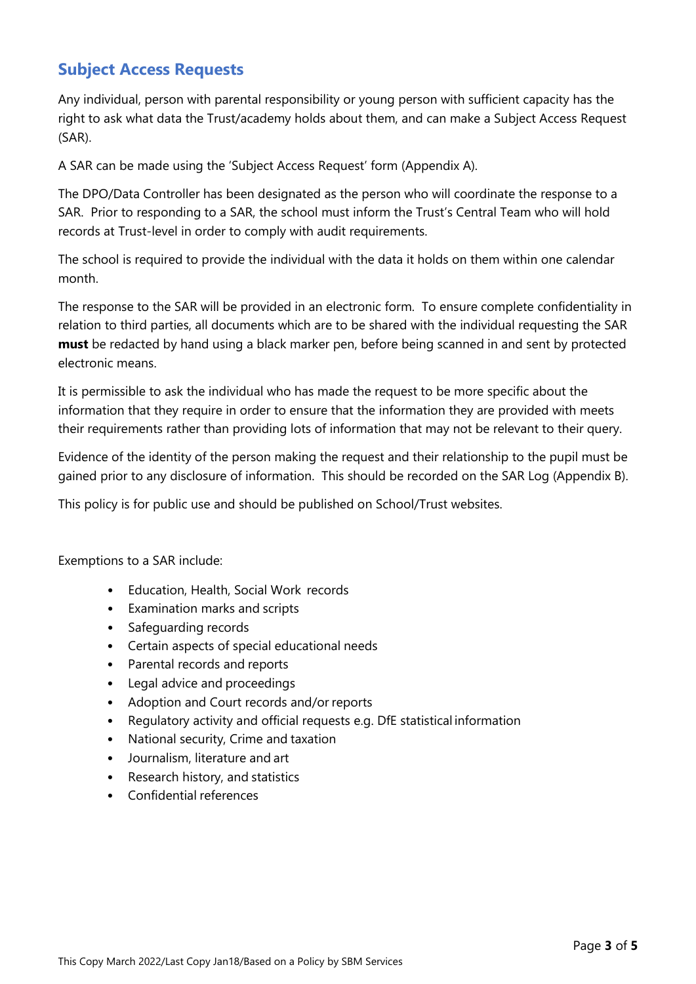## **Subject Access Requests**

Any individual, person with parental responsibility or young person with sufficient capacity has the right to ask what data the Trust/academy holds about them, and can make a Subject Access Request (SAR).

A SAR can be made using the 'Subject Access Request' form (Appendix A).

The DPO/Data Controller has been designated as the person who will coordinate the response to a SAR. Prior to responding to a SAR, the school must inform the Trust's Central Team who will hold records at Trust-level in order to comply with audit requirements.

The school is required to provide the individual with the data it holds on them within one calendar month.

The response to the SAR will be provided in an electronic form. To ensure complete confidentiality in relation to third parties, all documents which are to be shared with the individual requesting the SAR **must** be redacted by hand using a black marker pen, before being scanned in and sent by protected electronic means.

It is permissible to ask the individual who has made the request to be more specific about the information that they require in order to ensure that the information they are provided with meets their requirements rather than providing lots of information that may not be relevant to their query.

Evidence of the identity of the person making the request and their relationship to the pupil must be gained prior to any disclosure of information. This should be recorded on the SAR Log (Appendix B).

This policy is for public use and should be published on School/Trust websites.

Exemptions to a SAR include:

- Education, Health, Social Work records
- Examination marks and scripts
- Safeguarding records
- Certain aspects of special educational needs
- Parental records and reports
- Legal advice and proceedings
- Adoption and Court records and/or reports
- Regulatory activity and official requests e.g. DfE statistical information
- National security, Crime and taxation
- Journalism, literature and art
- Research history, and statistics
- Confidential references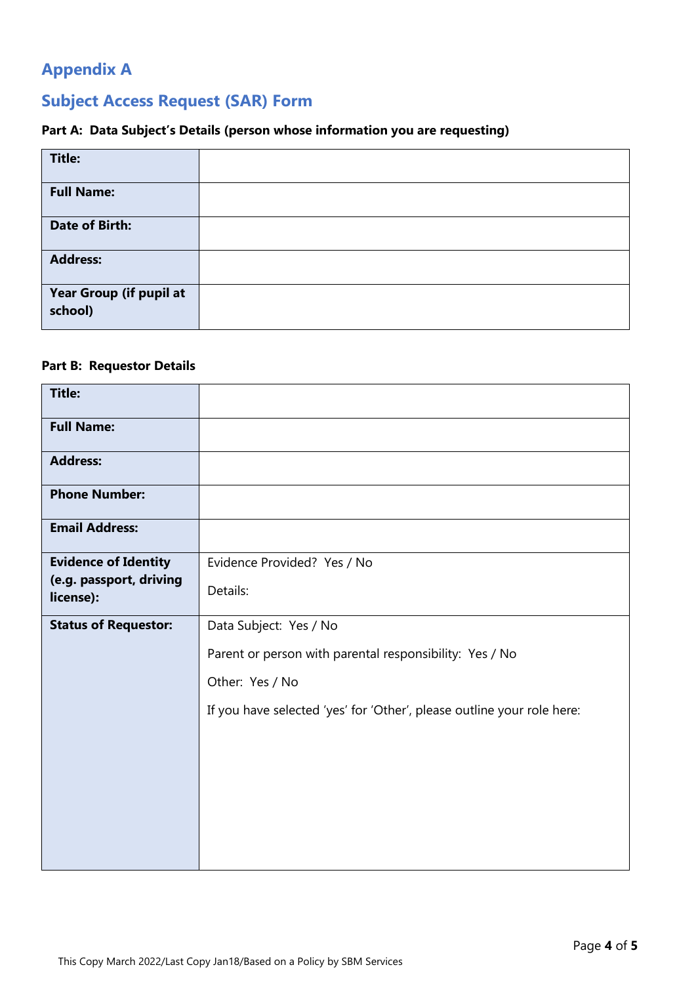# **Appendix A**

# **Subject Access Request (SAR) Form**

## **Part A: Data Subject's Details (person whose information you are requesting)**

| <b>Title:</b>                      |  |
|------------------------------------|--|
| <b>Full Name:</b>                  |  |
| <b>Date of Birth:</b>              |  |
| <b>Address:</b>                    |  |
| Year Group (if pupil at<br>school) |  |

### **Part B: Requestor Details**

| <b>Title:</b>                        |                                                                        |
|--------------------------------------|------------------------------------------------------------------------|
| <b>Full Name:</b>                    |                                                                        |
| <b>Address:</b>                      |                                                                        |
| <b>Phone Number:</b>                 |                                                                        |
| <b>Email Address:</b>                |                                                                        |
| <b>Evidence of Identity</b>          | Evidence Provided? Yes / No                                            |
| (e.g. passport, driving<br>license): | Details:                                                               |
| <b>Status of Requestor:</b>          | Data Subject: Yes / No                                                 |
|                                      | Parent or person with parental responsibility: Yes / No                |
|                                      | Other: Yes / No                                                        |
|                                      | If you have selected 'yes' for 'Other', please outline your role here: |
|                                      |                                                                        |
|                                      |                                                                        |
|                                      |                                                                        |
|                                      |                                                                        |
|                                      |                                                                        |
|                                      |                                                                        |